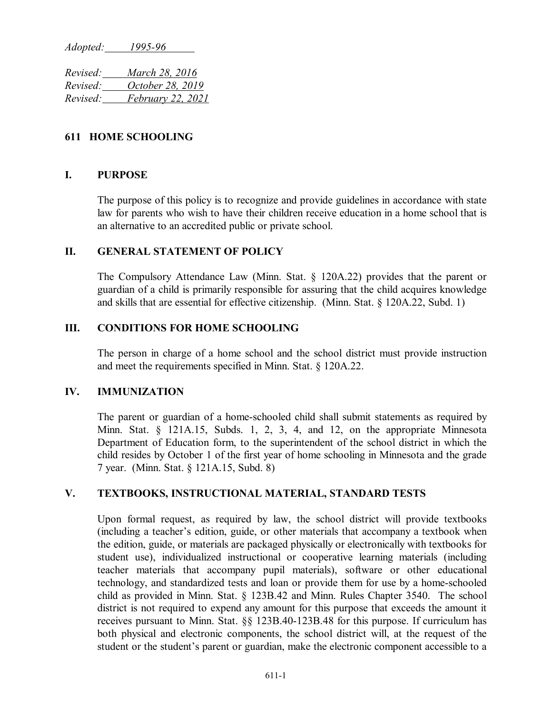*Adopted: 1995-96*

*Revised: March 28, 2016 Revised: October 28, 2019 Revised: February 22, 2021*

# **611 HOME SCHOOLING**

#### **I. PURPOSE**

The purpose of this policy is to recognize and provide guidelines in accordance with state law for parents who wish to have their children receive education in a home school that is an alternative to an accredited public or private school.

# **II. GENERAL STATEMENT OF POLICY**

The Compulsory Attendance Law (Minn. Stat. § 120A.22) provides that the parent or guardian of a child is primarily responsible for assuring that the child acquires knowledge and skills that are essential for effective citizenship. (Minn. Stat. § 120A.22, Subd. 1)

#### **III. CONDITIONS FOR HOME SCHOOLING**

The person in charge of a home school and the school district must provide instruction and meet the requirements specified in Minn. Stat. § 120A.22.

# **IV. IMMUNIZATION**

The parent or guardian of a home-schooled child shall submit statements as required by Minn. Stat. § 121A.15, Subds. 1, 2, 3, 4, and 12, on the appropriate Minnesota Department of Education form, to the superintendent of the school district in which the child resides by October 1 of the first year of home schooling in Minnesota and the grade 7 year. (Minn. Stat. § 121A.15, Subd. 8)

#### **V. TEXTBOOKS, INSTRUCTIONAL MATERIAL, STANDARD TESTS**

Upon formal request, as required by law, the school district will provide textbooks (including a teacher's edition, guide, or other materials that accompany a textbook when the edition, guide, or materials are packaged physically or electronically with textbooks for student use), individualized instructional or cooperative learning materials (including teacher materials that accompany pupil materials), software or other educational technology, and standardized tests and loan or provide them for use by a home-schooled child as provided in Minn. Stat. § 123B.42 and Minn. Rules Chapter 3540. The school district is not required to expend any amount for this purpose that exceeds the amount it receives pursuant to Minn. Stat. §§ 123B.40-123B.48 for this purpose. If curriculum has both physical and electronic components, the school district will, at the request of the student or the student's parent or guardian, make the electronic component accessible to a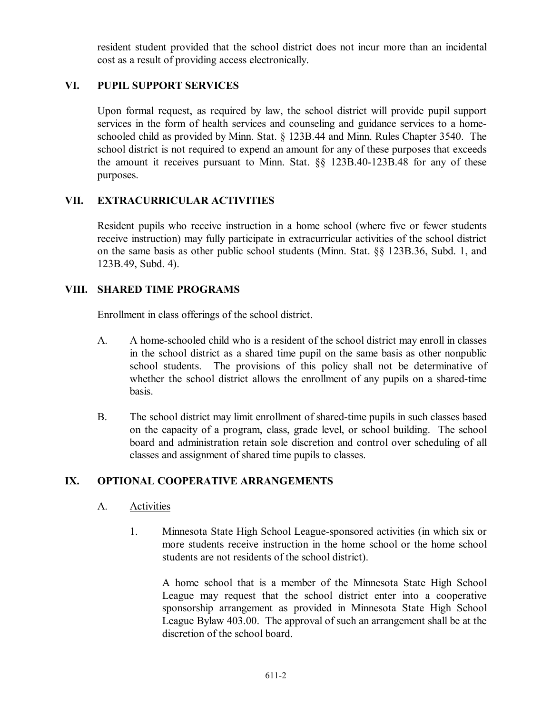resident student provided that the school district does not incur more than an incidental cost as a result of providing access electronically.

# **VI. PUPIL SUPPORT SERVICES**

Upon formal request, as required by law, the school district will provide pupil support services in the form of health services and counseling and guidance services to a homeschooled child as provided by Minn. Stat. § 123B.44 and Minn. Rules Chapter 3540. The school district is not required to expend an amount for any of these purposes that exceeds the amount it receives pursuant to Minn. Stat. §§ 123B.40-123B.48 for any of these purposes.

# **VII. EXTRACURRICULAR ACTIVITIES**

Resident pupils who receive instruction in a home school (where five or fewer students receive instruction) may fully participate in extracurricular activities of the school district on the same basis as other public school students (Minn. Stat. §§ 123B.36, Subd. 1, and 123B.49, Subd. 4).

# **VIII. SHARED TIME PROGRAMS**

Enrollment in class offerings of the school district.

- A. A home-schooled child who is a resident of the school district may enroll in classes in the school district as a shared time pupil on the same basis as other nonpublic school students. The provisions of this policy shall not be determinative of whether the school district allows the enrollment of any pupils on a shared-time basis.
- B. The school district may limit enrollment of shared-time pupils in such classes based on the capacity of a program, class, grade level, or school building. The school board and administration retain sole discretion and control over scheduling of all classes and assignment of shared time pupils to classes.

# **IX. OPTIONAL COOPERATIVE ARRANGEMENTS**

# A. Activities

1. Minnesota State High School League-sponsored activities (in which six or more students receive instruction in the home school or the home school students are not residents of the school district).

A home school that is a member of the Minnesota State High School League may request that the school district enter into a cooperative sponsorship arrangement as provided in Minnesota State High School League Bylaw 403.00. The approval of such an arrangement shall be at the discretion of the school board.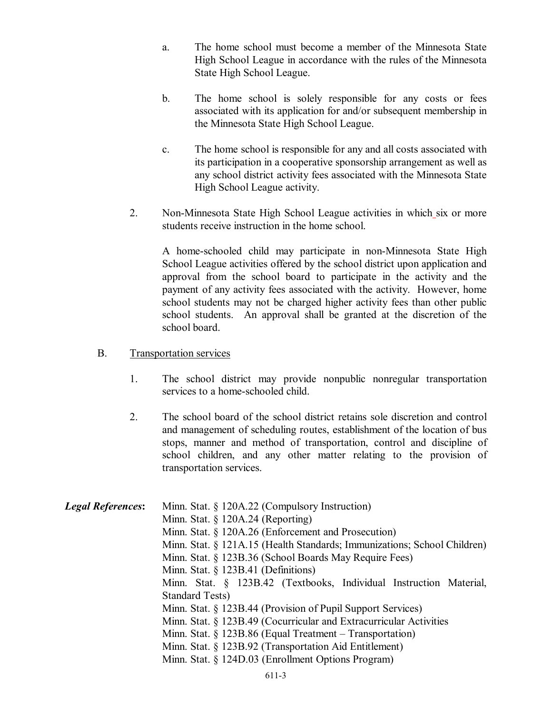- a. The home school must become a member of the Minnesota State High School League in accordance with the rules of the Minnesota State High School League.
- b. The home school is solely responsible for any costs or fees associated with its application for and/or subsequent membership in the Minnesota State High School League.
- c. The home school is responsible for any and all costs associated with its participation in a cooperative sponsorship arrangement as well as any school district activity fees associated with the Minnesota State High School League activity.
- 2. Non-Minnesota State High School League activities in which six or more students receive instruction in the home school.

A home-schooled child may participate in non-Minnesota State High School League activities offered by the school district upon application and approval from the school board to participate in the activity and the payment of any activity fees associated with the activity. However, home school students may not be charged higher activity fees than other public school students. An approval shall be granted at the discretion of the school board.

# B. Transportation services

- 1. The school district may provide nonpublic nonregular transportation services to a home-schooled child.
- 2. The school board of the school district retains sole discretion and control and management of scheduling routes, establishment of the location of bus stops, manner and method of transportation, control and discipline of school children, and any other matter relating to the provision of transportation services.

| <b>Legal References:</b> | Minn. Stat. § 120A.22 (Compulsory Instruction)                           |
|--------------------------|--------------------------------------------------------------------------|
|                          | Minn. Stat. $\S$ 120A.24 (Reporting)                                     |
|                          | Minn. Stat. § 120A.26 (Enforcement and Prosecution)                      |
|                          | Minn. Stat. § 121A.15 (Health Standards; Immunizations; School Children) |
|                          | Minn. Stat. § 123B.36 (School Boards May Require Fees)                   |
|                          | Minn. Stat. $\S$ 123B.41 (Definitions)                                   |
|                          | Minn. Stat. § 123B.42 (Textbooks, Individual Instruction Material,       |
|                          | <b>Standard Tests</b> )                                                  |
|                          | Minn. Stat. § 123B.44 (Provision of Pupil Support Services)              |
|                          | Minn. Stat. § 123B.49 (Cocurricular and Extracurricular Activities       |
|                          | Minn. Stat. $\S$ 123B.86 (Equal Treatment – Transportation)              |
|                          | Minn. Stat. § 123B.92 (Transportation Aid Entitlement)                   |
|                          | Minn. Stat. § 124D.03 (Enrollment Options Program)                       |